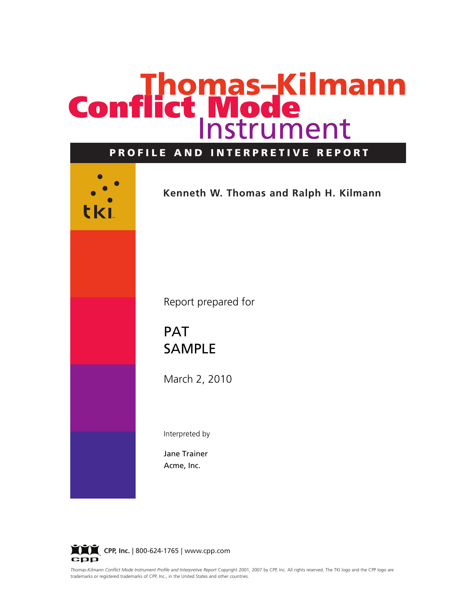# **Thomas–Kilmann Instrument Conflict Mode**





# **Kenneth W. Thomas and Ralph H. Kilmann**

Report prepared for

# PAT SAMPLE

March 2, 2010

Interpreted by

Jane Trainer Acme, Inc.



*Thomas-Kilmann Conflict Mode Instrument Profile and Interpretive Report* Copyright 2001, 2007 by CPP, Inc. All rights reserved. The TKI logo and the CPP logo are trademarks or registered trademarks of CPP, Inc., in the United States and other countries.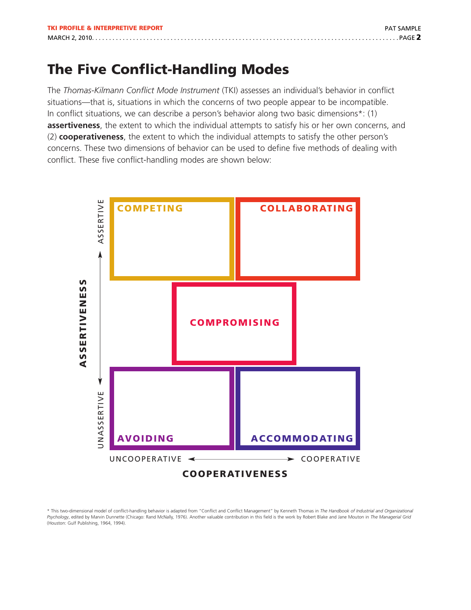# **The Five Conflict-Handling Modes**

The *Thomas-Kilmann Conflict Mode Instrument* (TKI) assesses an individual's behavior in conflict situations—that is, situations in which the concerns of two people appear to be incompatible. In conflict situations, we can describe a person's behavior along two basic dimensions\*: (1) **assertiveness**, the extent to which the individual attempts to satisfy his or her own concerns, and (2) **cooperativeness**, the extent to which the individual attempts to satisfy the other person's concerns. These two dimensions of behavior can be used to define five methods of dealing with conflict. These five conflict-handling modes are shown below:



\* This two-dimensional model of conflict-handling behavior is adapted from "Conflict and Conflict Management" by Kenneth Thomas in *The Handbook of Industrial and Organizational Psychology*, edited by Marvin Dunnette (Chicago: Rand McNally, 1976). Another valuable contribution in this field is the work by Robert Blake and Jane Mouton in *The Managerial Grid* (Houston: Gulf Publishing, 1964, 1994).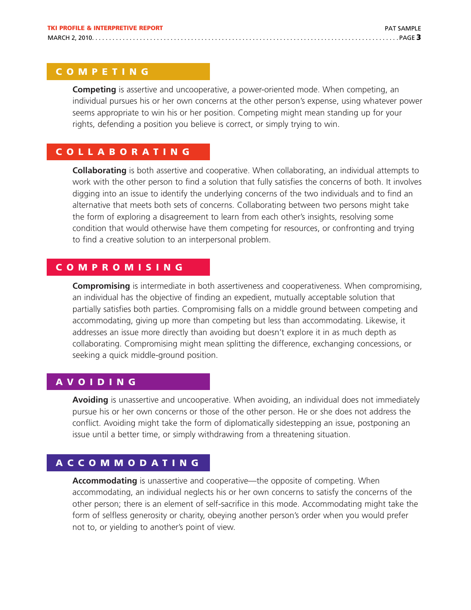# **C O M P E T I N G**

**Competing** is assertive and uncooperative, a power-oriented mode. When competing, an individual pursues his or her own concerns at the other person's expense, using whatever power seems appropriate to win his or her position. Competing might mean standing up for your rights, defending a position you believe is correct, or simply trying to win.

# **C O L L A B O R A T I N G**

**Collaborating** is both assertive and cooperative. When collaborating, an individual attempts to work with the other person to find a solution that fully satisfies the concerns of both. It involves digging into an issue to identify the underlying concerns of the two individuals and to find an alternative that meets both sets of concerns. Collaborating between two persons might take the form of exploring a disagreement to learn from each other's insights, resolving some condition that would otherwise have them competing for resources, or confronting and trying to find a creative solution to an interpersonal problem.

# **C O M P R O M I S I N G**

**Compromising** is intermediate in both assertiveness and cooperativeness. When compromising, an individual has the objective of finding an expedient, mutually acceptable solution that partially satisfies both parties. Compromising falls on a middle ground between competing and accommodating, giving up more than competing but less than accommodating. Likewise, it addresses an issue more directly than avoiding but doesn't explore it in as much depth as collaborating. Compromising might mean splitting the difference, exchanging concessions, or seeking a quick middle-ground position.

# **A V O I D I N G**

**Avoiding** is unassertive and uncooperative. When avoiding, an individual does not immediately pursue his or her own concerns or those of the other person. He or she does not address the conflict. Avoiding might take the form of diplomatically sidestepping an issue, postponing an issue until a better time, or simply withdrawing from a threatening situation.

# **A C C O M M O D A T I N G**

**Accommodating** is unassertive and cooperative—the opposite of competing. When accommodating, an individual neglects his or her own concerns to satisfy the concerns of the other person; there is an element of self-sacrifice in this mode. Accommodating might take the form of selfless generosity or charity, obeying another person's order when you would prefer not to, or yielding to another's point of view.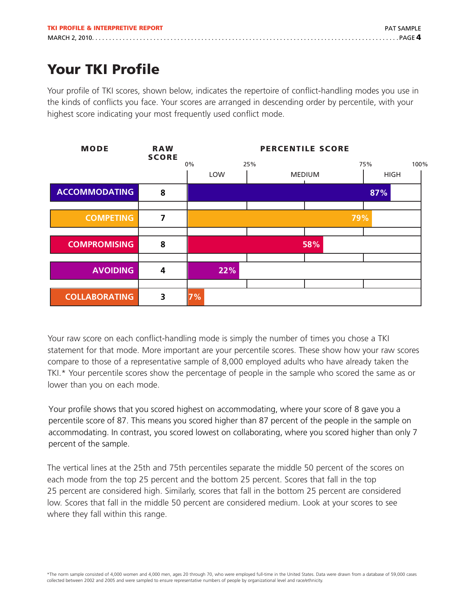# **Your TKI Profile**

Your profile of TKI scores, shown below, indicates the repertoire of conflict-handling modes you use in the kinds of conflicts you face. Your scores are arranged in descending order by percentile, with your highest score indicating your most frequently used conflict mode.



Your raw score on each conflict-handling mode is simply the number of times you chose a TKI statement for that mode. More important are your percentile scores. These show how your raw scores compare to those of a representative sample of 8,000 employed adults who have already taken the TKI.\* Your percentile scores show the percentage of people in the sample who scored the same as or lower than you on each mode.

Your profile shows that you scored highest on accommodating, where your score of 8 gave you a percentile score of 87. This means you scored higher than 87 percent of the people in the sample on accommodating. In contrast, you scored lowest on collaborating, where you scored higher than only 7 percent of the sample.

The vertical lines at the 25th and 75th percentiles separate the middle 50 percent of the scores on each mode from the top 25 percent and the bottom 25 percent. Scores that fall in the top 25 percent are considered high. Similarly, scores that fall in the bottom 25 percent are considered low. Scores that fall in the middle 50 percent are considered medium. Look at your scores to see where they fall within this range.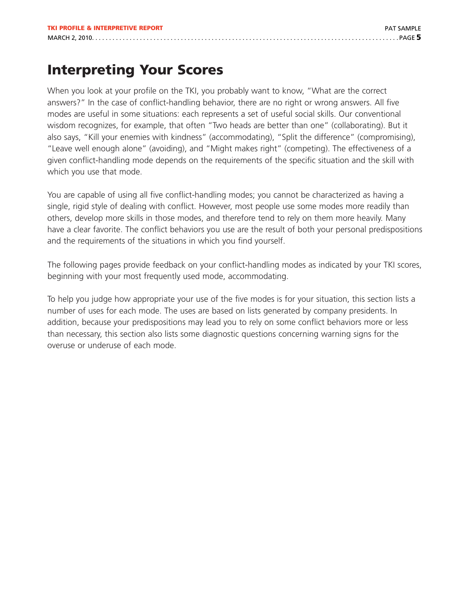# **Interpreting Your Scores**

When you look at your profile on the TKI, you probably want to know, "What are the correct answers?" In the case of conflict-handling behavior, there are no right or wrong answers. All five modes are useful in some situations: each represents a set of useful social skills. Our conventional wisdom recognizes, for example, that often "Two heads are better than one" (collaborating). But it also says, "Kill your enemies with kindness" (accommodating), "Split the difference" (compromising), "Leave well enough alone" (avoiding), and "Might makes right" (competing). The effectiveness of a given conflict-handling mode depends on the requirements of the specific situation and the skill with which you use that mode.

You are capable of using all five conflict-handling modes; you cannot be characterized as having a single, rigid style of dealing with conflict. However, most people use some modes more readily than others, develop more skills in those modes, and therefore tend to rely on them more heavily. Many have a clear favorite. The conflict behaviors you use are the result of both your personal predispositions and the requirements of the situations in which you find yourself.

The following pages provide feedback on your conflict-handling modes as indicated by your TKI scores, beginning with your most frequently used mode, accommodating.

To help you judge how appropriate your use of the five modes is for your situation, this section lists a number of uses for each mode. The uses are based on lists generated by company presidents. In addition, because your predispositions may lead you to rely on some conflict behaviors more or less than necessary, this section also lists some diagnostic questions concerning warning signs for the overuse or underuse of each mode.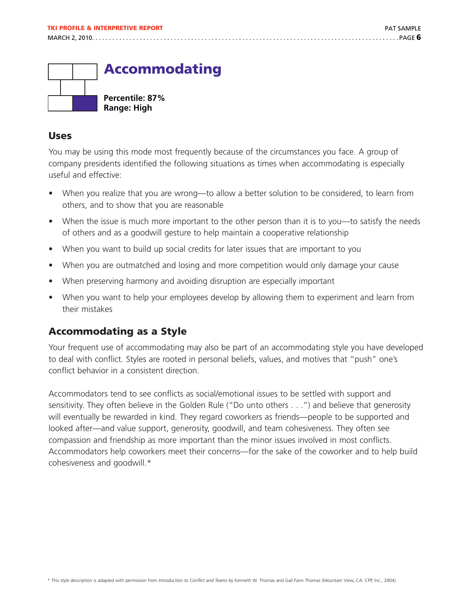**Percentile: 87% Range: High Accommodating**

#### **Uses**

You may be using this mode most frequently because of the circumstances you face. A group of company presidents identified the following situations as times when accommodating is especially useful and effective:

- When you realize that you are wrong—to allow a better solution to be considered, to learn from others, and to show that you are reasonable
- When the issue is much more important to the other person than it is to you—to satisfy the needs of others and as a goodwill gesture to help maintain a cooperative relationship
- When you want to build up social credits for later issues that are important to you
- When you are outmatched and losing and more competition would only damage your cause
- When preserving harmony and avoiding disruption are especially important
- When you want to help your employees develop by allowing them to experiment and learn from their mistakes

# **Accommodating as a Style**

Your frequent use of accommodating may also be part of an accommodating style you have developed to deal with conflict. Styles are rooted in personal beliefs, values, and motives that "push" one's conflict behavior in a consistent direction.

Accommodators tend to see conflicts as social/emotional issues to be settled with support and sensitivity. They often believe in the Golden Rule ("Do unto others . . .") and believe that generosity will eventually be rewarded in kind. They regard coworkers as friends—people to be supported and looked after—and value support, generosity, goodwill, and team cohesiveness. They often see compassion and friendship as more important than the minor issues involved in most conflicts. Accommodators help coworkers meet their concerns—for the sake of the coworker and to help build cohesiveness and goodwill.\*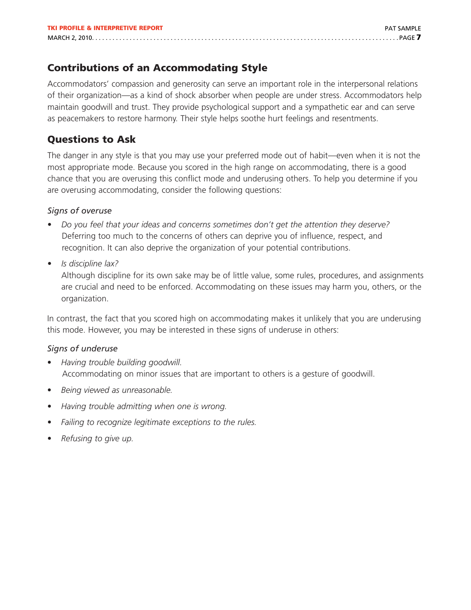# **Contributions of an Accommodating Style**

Accommodators' compassion and generosity can serve an important role in the interpersonal relations of their organization—as a kind of shock absorber when people are under stress. Accommodators help maintain goodwill and trust. They provide psychological support and a sympathetic ear and can serve as peacemakers to restore harmony. Their style helps soothe hurt feelings and resentments.

# **Questions to Ask**

The danger in any style is that you may use your preferred mode out of habit—even when it is not the most appropriate mode. Because you scored in the high range on accommodating, there is a good chance that you are overusing this conflict mode and underusing others. To help you determine if you are overusing accommodating, consider the following questions:

### *Signs of overuse*

- *Do you feel that your ideas and concerns sometimes don't get the attention they deserve?* Deferring too much to the concerns of others can deprive you of influence, respect, and recognition. It can also deprive the organization of your potential contributions.
- *Is discipline lax?*

Although discipline for its own sake may be of little value, some rules, procedures, and assignments are crucial and need to be enforced. Accommodating on these issues may harm you, others, or the organization.

In contrast, the fact that you scored high on accommodating makes it unlikely that you are underusing this mode. However, you may be interested in these signs of underuse in others:

### *Signs of underuse*

- *Having trouble building goodwill.* Accommodating on minor issues that are important to others is a gesture of goodwill.
- *Being viewed as unreasonable.*
- *• Having trouble admitting when one is wrong.*
- *• Failing to recognize legitimate exceptions to the rules.*
- *• Refusing to give up.*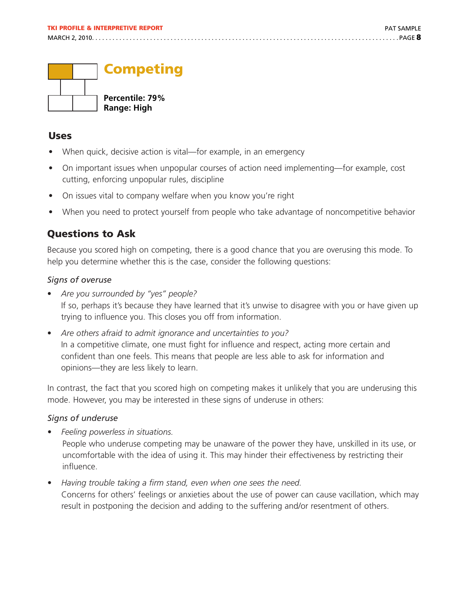|  |  | Competing                             |
|--|--|---------------------------------------|
|  |  |                                       |
|  |  | Percentile: 79%<br><b>Range: High</b> |

## **Uses**

- When quick, decisive action is vital—for example, in an emergency
- On important issues when unpopular courses of action need implementing—for example, cost cutting, enforcing unpopular rules, discipline
- On issues vital to company welfare when you know you're right
- When you need to protect yourself from people who take advantage of noncompetitive behavior

# **Questions to Ask**

Because you scored high on competing, there is a good chance that you are overusing this mode. To help you determine whether this is the case, consider the following questions:

#### *Signs of overuse*

- *Are you surrounded by "yes" people?* If so, perhaps it's because they have learned that it's unwise to disagree with you or have given up trying to influence you. This closes you off from information.
- *Are others afraid to admit ignorance and uncertainties to you?* In a competitive climate, one must fight for influence and respect, acting more certain and confident than one feels. This means that people are less able to ask for information and opinions—they are less likely to learn.

In contrast, the fact that you scored high on competing makes it unlikely that you are underusing this mode. However, you may be interested in these signs of underuse in others:

### *Signs of underuse*

• *Feeling powerless in situations.*

People who underuse competing may be unaware of the power they have, unskilled in its use, or uncomfortable with the idea of using it. This may hinder their effectiveness by restricting their influence.

• *Having trouble taking a firm stand, even when one sees the need.* Concerns for others' feelings or anxieties about the use of power can cause vacillation, which may result in postponing the decision and adding to the suffering and/or resentment of others.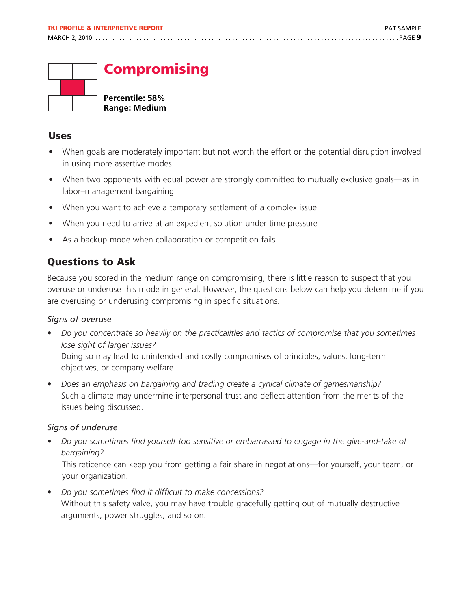# **Percentile: 58% Range: Medium Compromising**

#### **Uses**

- When goals are moderately important but not worth the effort or the potential disruption involved in using more assertive modes
- When two opponents with equal power are strongly committed to mutually exclusive goals—as in labor–management bargaining
- When you want to achieve a temporary settlement of a complex issue
- When you need to arrive at an expedient solution under time pressure
- As a backup mode when collaboration or competition fails

# **Questions to Ask**

Because you scored in the medium range on compromising, there is little reason to suspect that you overuse or underuse this mode in general. However, the questions below can help you determine if you are overusing or underusing compromising in specific situations.

#### *Signs of overuse*

- *Do you concentrate so heavily on the practicalities and tactics of compromise that you sometimes lose sight of larger issues?* Doing so may lead to unintended and costly compromises of principles, values, long-term objectives, or company welfare.
- *Does an emphasis on bargaining and trading create a cynical climate of gamesmanship?* Such a climate may undermine interpersonal trust and deflect attention from the merits of the issues being discussed.

### *Signs of underuse*

• *Do you sometimes find yourself too sensitive or embarrassed to engage in the give-and-take of bargaining?*

This reticence can keep you from getting a fair share in negotiations—for yourself, your team, or your organization.

• *Do you sometimes find it difficult to make concessions?* Without this safety valve, you may have trouble gracefully getting out of mutually destructive arguments, power struggles, and so on.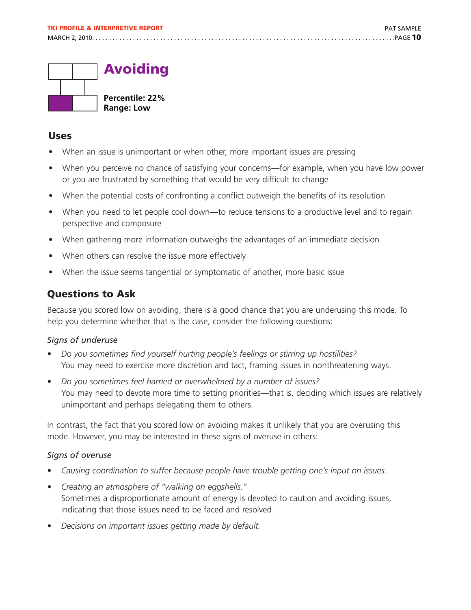

## **Uses**

- When an issue is unimportant or when other, more important issues are pressing
- When you perceive no chance of satisfying your concerns—for example, when you have low power or you are frustrated by something that would be very difficult to change
- When the potential costs of confronting a conflict outweigh the benefits of its resolution
- When you need to let people cool down—to reduce tensions to a productive level and to regain perspective and composure
- When gathering more information outweighs the advantages of an immediate decision
- When others can resolve the issue more effectively
- When the issue seems tangential or symptomatic of another, more basic issue

# **Questions to Ask**

Because you scored low on avoiding, there is a good chance that you are underusing this mode. To help you determine whether that is the case, consider the following questions:

#### *Signs of underuse*

- *Do you sometimes find yourself hurting people's feelings or stirring up hostilities?* You may need to exercise more discretion and tact, framing issues in nonthreatening ways.
- *Do you sometimes feel harried or overwhelmed by a number of issues?* You may need to devote more time to setting priorities—that is, deciding which issues are relatively unimportant and perhaps delegating them to others.

In contrast, the fact that you scored low on avoiding makes it unlikely that you are overusing this mode. However, you may be interested in these signs of overuse in others:

### *Signs of overuse*

- *Causing coordination to suffer because people have trouble getting one's input on issues.*
- *• Creating an atmosphere of "walking on eggshells."* Sometimes a disproportionate amount of energy is devoted to caution and avoiding issues, indicating that those issues need to be faced and resolved.
- *Decisions on important issues getting made by default.*